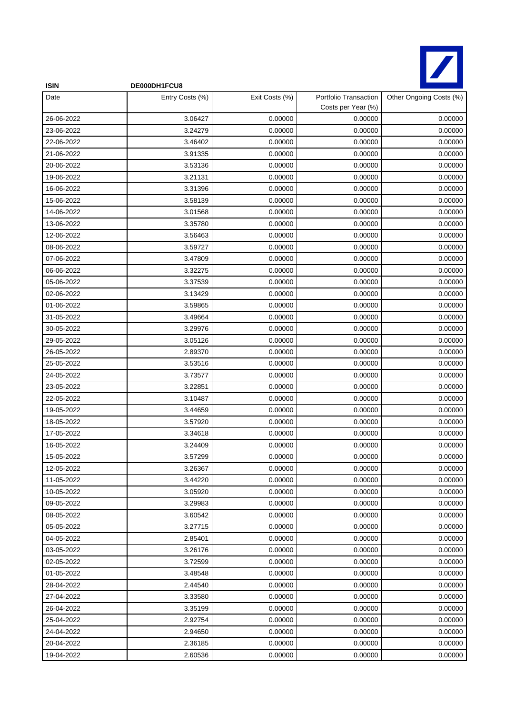

| <b>ISIN</b> | DE000DH1FCU8    |                |                                             |                         |
|-------------|-----------------|----------------|---------------------------------------------|-------------------------|
| Date        | Entry Costs (%) | Exit Costs (%) | Portfolio Transaction<br>Costs per Year (%) | Other Ongoing Costs (%) |
| 26-06-2022  | 3.06427         | 0.00000        | 0.00000                                     | 0.00000                 |
| 23-06-2022  | 3.24279         | 0.00000        | 0.00000                                     | 0.00000                 |
| 22-06-2022  | 3.46402         | 0.00000        | 0.00000                                     | 0.00000                 |
| 21-06-2022  | 3.91335         | 0.00000        | 0.00000                                     | 0.00000                 |
| 20-06-2022  | 3.53136         | 0.00000        | 0.00000                                     | 0.00000                 |
| 19-06-2022  | 3.21131         | 0.00000        | 0.00000                                     | 0.00000                 |
| 16-06-2022  | 3.31396         | 0.00000        | 0.00000                                     | 0.00000                 |
| 15-06-2022  | 3.58139         | 0.00000        | 0.00000                                     | 0.00000                 |
| 14-06-2022  | 3.01568         | 0.00000        | 0.00000                                     | 0.00000                 |
| 13-06-2022  | 3.35780         | 0.00000        | 0.00000                                     | 0.00000                 |
| 12-06-2022  | 3.56463         | 0.00000        | 0.00000                                     | 0.00000                 |
| 08-06-2022  | 3.59727         | 0.00000        | 0.00000                                     | 0.00000                 |
| 07-06-2022  | 3.47809         | 0.00000        | 0.00000                                     | 0.00000                 |
| 06-06-2022  | 3.32275         | 0.00000        | 0.00000                                     | 0.00000                 |
| 05-06-2022  | 3.37539         | 0.00000        | 0.00000                                     | 0.00000                 |
| 02-06-2022  | 3.13429         | 0.00000        | 0.00000                                     | 0.00000                 |
| 01-06-2022  | 3.59865         | 0.00000        | 0.00000                                     | 0.00000                 |
| 31-05-2022  | 3.49664         | 0.00000        | 0.00000                                     | 0.00000                 |
| 30-05-2022  | 3.29976         | 0.00000        | 0.00000                                     | 0.00000                 |
| 29-05-2022  | 3.05126         | 0.00000        | 0.00000                                     | 0.00000                 |
| 26-05-2022  | 2.89370         | 0.00000        | 0.00000                                     | 0.00000                 |
| 25-05-2022  | 3.53516         | 0.00000        | 0.00000                                     | 0.00000                 |
| 24-05-2022  | 3.73577         | 0.00000        | 0.00000                                     | 0.00000                 |
| 23-05-2022  | 3.22851         | 0.00000        | 0.00000                                     | 0.00000                 |
| 22-05-2022  | 3.10487         | 0.00000        | 0.00000                                     | 0.00000                 |
| 19-05-2022  | 3.44659         | 0.00000        | 0.00000                                     | 0.00000                 |
| 18-05-2022  | 3.57920         | 0.00000        | 0.00000                                     | 0.00000                 |
| 17-05-2022  | 3.34618         | 0.00000        | 0.00000                                     | 0.00000                 |
| 16-05-2022  | 3.24409         | 0.00000        | 0.00000                                     | 0.00000                 |
| 15-05-2022  | 3.57299         | 0.00000        | 0.00000                                     | 0.00000                 |
| 12-05-2022  | 3.26367         | 0.00000        | 0.00000                                     | 0.00000                 |
| 11-05-2022  | 3.44220         | 0.00000        | 0.00000                                     | 0.00000                 |
| 10-05-2022  | 3.05920         | 0.00000        | 0.00000                                     | 0.00000                 |
| 09-05-2022  | 3.29983         | 0.00000        | 0.00000                                     | 0.00000                 |
| 08-05-2022  | 3.60542         | 0.00000        | 0.00000                                     | 0.00000                 |
| 05-05-2022  | 3.27715         | 0.00000        | 0.00000                                     | 0.00000                 |
| 04-05-2022  | 2.85401         | 0.00000        | 0.00000                                     | 0.00000                 |
| 03-05-2022  | 3.26176         | 0.00000        | 0.00000                                     | 0.00000                 |
| 02-05-2022  | 3.72599         | 0.00000        | 0.00000                                     | 0.00000                 |
| 01-05-2022  | 3.48548         | 0.00000        | 0.00000                                     | 0.00000                 |
| 28-04-2022  | 2.44540         | 0.00000        | 0.00000                                     | 0.00000                 |
| 27-04-2022  | 3.33580         | 0.00000        | 0.00000                                     | 0.00000                 |
| 26-04-2022  | 3.35199         | 0.00000        | 0.00000                                     | 0.00000                 |
| 25-04-2022  | 2.92754         | 0.00000        | 0.00000                                     | 0.00000                 |
| 24-04-2022  | 2.94650         | 0.00000        | 0.00000                                     | 0.00000                 |
| 20-04-2022  | 2.36185         | 0.00000        | 0.00000                                     | 0.00000                 |
| 19-04-2022  | 2.60536         | 0.00000        | 0.00000                                     | 0.00000                 |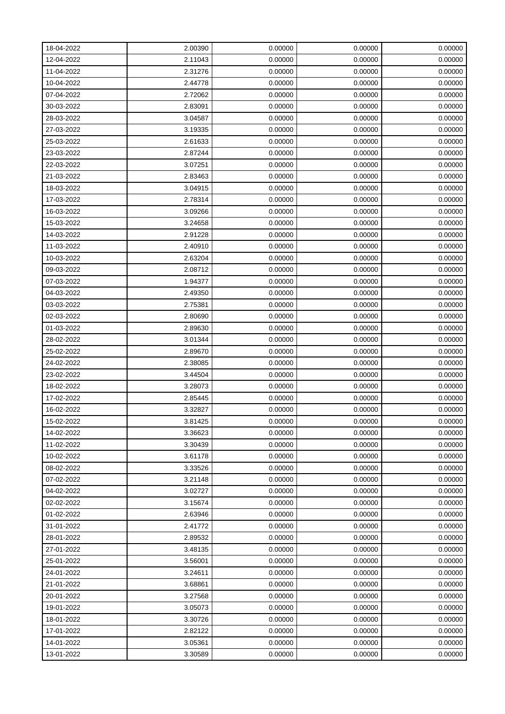| 18-04-2022 | 2.00390 | 0.00000 | 0.00000 | 0.00000 |
|------------|---------|---------|---------|---------|
| 12-04-2022 | 2.11043 | 0.00000 | 0.00000 | 0.00000 |
| 11-04-2022 | 2.31276 | 0.00000 | 0.00000 | 0.00000 |
| 10-04-2022 | 2.44778 | 0.00000 | 0.00000 | 0.00000 |
| 07-04-2022 | 2.72062 | 0.00000 | 0.00000 | 0.00000 |
| 30-03-2022 | 2.83091 | 0.00000 | 0.00000 | 0.00000 |
| 28-03-2022 | 3.04587 | 0.00000 | 0.00000 | 0.00000 |
| 27-03-2022 | 3.19335 | 0.00000 | 0.00000 | 0.00000 |
| 25-03-2022 | 2.61633 | 0.00000 | 0.00000 | 0.00000 |
| 23-03-2022 | 2.87244 | 0.00000 | 0.00000 | 0.00000 |
| 22-03-2022 | 3.07251 | 0.00000 | 0.00000 | 0.00000 |
| 21-03-2022 | 2.83463 | 0.00000 | 0.00000 | 0.00000 |
| 18-03-2022 | 3.04915 | 0.00000 | 0.00000 | 0.00000 |
| 17-03-2022 | 2.78314 | 0.00000 | 0.00000 | 0.00000 |
| 16-03-2022 | 3.09266 | 0.00000 | 0.00000 | 0.00000 |
| 15-03-2022 | 3.24658 | 0.00000 | 0.00000 | 0.00000 |
| 14-03-2022 | 2.91228 | 0.00000 | 0.00000 | 0.00000 |
| 11-03-2022 | 2.40910 | 0.00000 | 0.00000 | 0.00000 |
| 10-03-2022 | 2.63204 | 0.00000 | 0.00000 | 0.00000 |
| 09-03-2022 | 2.08712 | 0.00000 | 0.00000 | 0.00000 |
| 07-03-2022 | 1.94377 | 0.00000 | 0.00000 | 0.00000 |
| 04-03-2022 | 2.49350 | 0.00000 | 0.00000 | 0.00000 |
| 03-03-2022 | 2.75381 | 0.00000 | 0.00000 | 0.00000 |
| 02-03-2022 | 2.80690 | 0.00000 | 0.00000 | 0.00000 |
| 01-03-2022 | 2.89630 | 0.00000 | 0.00000 | 0.00000 |
| 28-02-2022 | 3.01344 | 0.00000 | 0.00000 | 0.00000 |
| 25-02-2022 | 2.89670 | 0.00000 | 0.00000 | 0.00000 |
| 24-02-2022 | 2.38085 | 0.00000 | 0.00000 | 0.00000 |
| 23-02-2022 | 3.44504 | 0.00000 | 0.00000 | 0.00000 |
| 18-02-2022 | 3.28073 | 0.00000 | 0.00000 | 0.00000 |
| 17-02-2022 | 2.85445 | 0.00000 | 0.00000 | 0.00000 |
| 16-02-2022 | 3.32827 | 0.00000 | 0.00000 | 0.00000 |
| 15-02-2022 | 3.81425 | 0.00000 | 0.00000 | 0.00000 |
| 14-02-2022 | 3.36623 | 0.00000 | 0.00000 | 0.00000 |
| 11-02-2022 | 3.30439 | 0.00000 | 0.00000 | 0.00000 |
| 10-02-2022 | 3.61178 | 0.00000 | 0.00000 | 0.00000 |
| 08-02-2022 | 3.33526 | 0.00000 | 0.00000 | 0.00000 |
| 07-02-2022 | 3.21148 | 0.00000 | 0.00000 | 0.00000 |
| 04-02-2022 | 3.02727 | 0.00000 | 0.00000 | 0.00000 |
| 02-02-2022 | 3.15674 | 0.00000 | 0.00000 | 0.00000 |
| 01-02-2022 | 2.63946 | 0.00000 | 0.00000 | 0.00000 |
| 31-01-2022 | 2.41772 | 0.00000 | 0.00000 | 0.00000 |
| 28-01-2022 | 2.89532 | 0.00000 | 0.00000 | 0.00000 |
| 27-01-2022 | 3.48135 | 0.00000 | 0.00000 | 0.00000 |
| 25-01-2022 | 3.56001 | 0.00000 | 0.00000 | 0.00000 |
| 24-01-2022 | 3.24611 | 0.00000 | 0.00000 | 0.00000 |
| 21-01-2022 | 3.68861 | 0.00000 | 0.00000 | 0.00000 |
| 20-01-2022 | 3.27568 | 0.00000 | 0.00000 | 0.00000 |
| 19-01-2022 | 3.05073 | 0.00000 | 0.00000 | 0.00000 |
| 18-01-2022 | 3.30726 | 0.00000 | 0.00000 | 0.00000 |
| 17-01-2022 | 2.82122 | 0.00000 | 0.00000 | 0.00000 |
| 14-01-2022 | 3.05361 | 0.00000 | 0.00000 | 0.00000 |
| 13-01-2022 | 3.30589 | 0.00000 | 0.00000 | 0.00000 |